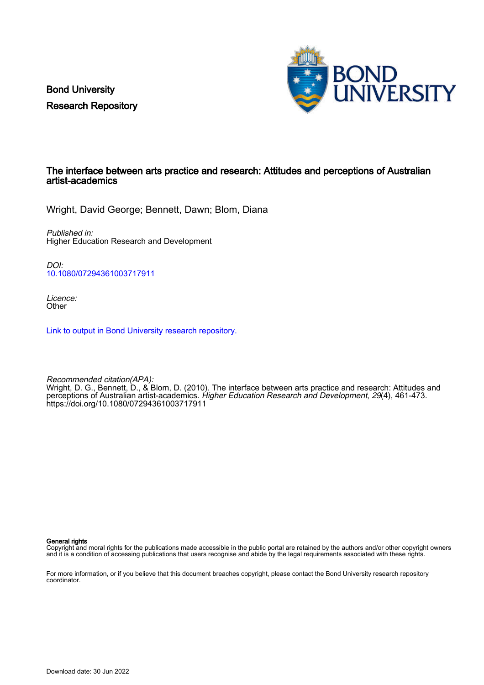Bond University Research Repository



## The interface between arts practice and research: Attitudes and perceptions of Australian artist-academics

Wright, David George; Bennett, Dawn; Blom, Diana

Published in: Higher Education Research and Development

DOI: [10.1080/07294361003717911](https://doi.org/10.1080/07294361003717911)

Licence: **Other** 

[Link to output in Bond University research repository.](https://research.bond.edu.au/en/publications/e5093ea0-6c10-4e09-9440-b04617c6e935)

Recommended citation(APA): Wright, D. G., Bennett, D., & Blom, D. (2010). The interface between arts practice and research: Attitudes and perceptions of Australian artist-academics. *Higher Education Research and Development, 29*(4), 461-473. <https://doi.org/10.1080/07294361003717911>

General rights

Copyright and moral rights for the publications made accessible in the public portal are retained by the authors and/or other copyright owners and it is a condition of accessing publications that users recognise and abide by the legal requirements associated with these rights.

For more information, or if you believe that this document breaches copyright, please contact the Bond University research repository coordinator.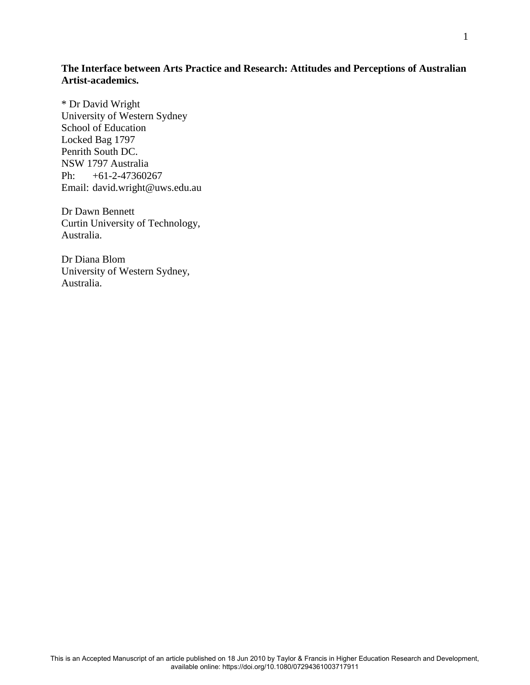# **The Interface between Arts Practice and Research: Attitudes and Perceptions of Australian Artist-academics.**

\* Dr David Wright University of Western Sydney School of Education Locked Bag 1797 Penrith South DC. NSW 1797 Australia Ph: +61-2-47360267 Email: david.wright@uws.edu.au

Dr Dawn Bennett Curtin University of Technology, Australia.

Dr Diana Blom University of Western Sydney, Australia.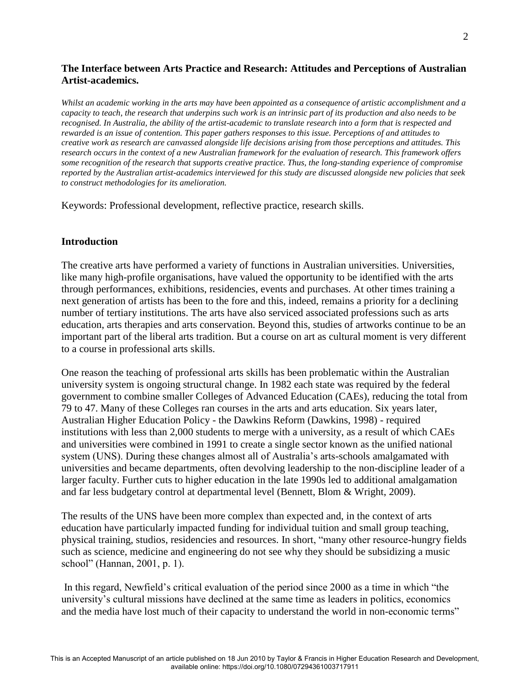# **The Interface between Arts Practice and Research: Attitudes and Perceptions of Australian Artist-academics.**

*Whilst an academic working in the arts may have been appointed as a consequence of artistic accomplishment and a capacity to teach, the research that underpins such work is an intrinsic part of its production and also needs to be recognised. In Australia, the ability of the artist-academic to translate research into a form that is respected and rewarded is an issue of contention. This paper gathers responses to this issue. Perceptions of and attitudes to creative work as research are canvassed alongside life decisions arising from those perceptions and attitudes. This research occurs in the context of a new Australian framework for the evaluation of research. This framework offers some recognition of the research that supports creative practice. Thus, the long-standing experience of compromise reported by the Australian artist-academics interviewed for this study are discussed alongside new policies that seek to construct methodologies for its amelioration.* 

Keywords: Professional development, reflective practice, research skills.

## **Introduction**

The creative arts have performed a variety of functions in Australian universities. Universities, like many high-profile organisations, have valued the opportunity to be identified with the arts through performances, exhibitions, residencies, events and purchases. At other times training a next generation of artists has been to the fore and this, indeed, remains a priority for a declining number of tertiary institutions. The arts have also serviced associated professions such as arts education, arts therapies and arts conservation. Beyond this, studies of artworks continue to be an important part of the liberal arts tradition. But a course on art as cultural moment is very different to a course in professional arts skills.

One reason the teaching of professional arts skills has been problematic within the Australian university system is ongoing structural change. In 1982 each state was required by the federal government to combine smaller Colleges of Advanced Education (CAEs), reducing the total from 79 to 47. Many of these Colleges ran courses in the arts and arts education. Six years later, Australian Higher Education Policy - the Dawkins Reform (Dawkins, 1998) - required institutions with less than 2,000 students to merge with a university, as a result of which CAEs and universities were combined in 1991 to create a single sector known as the unified national system (UNS). During these changes almost all of Australia's arts-schools amalgamated with universities and became departments, often devolving leadership to the non-discipline leader of a larger faculty. Further cuts to higher education in the late 1990s led to additional amalgamation and far less budgetary control at departmental level (Bennett, Blom & Wright, 2009).

The results of the UNS have been more complex than expected and, in the context of arts education have particularly impacted funding for individual tuition and small group teaching, physical training, studios, residencies and resources. In short, "many other resource-hungry fields such as science, medicine and engineering do not see why they should be subsidizing a music school" (Hannan, 2001, p. 1).

In this regard, Newfield's critical evaluation of the period since 2000 as a time in which "the university's cultural missions have declined at the same time as leaders in politics, economics and the media have lost much of their capacity to understand the world in non-economic terms"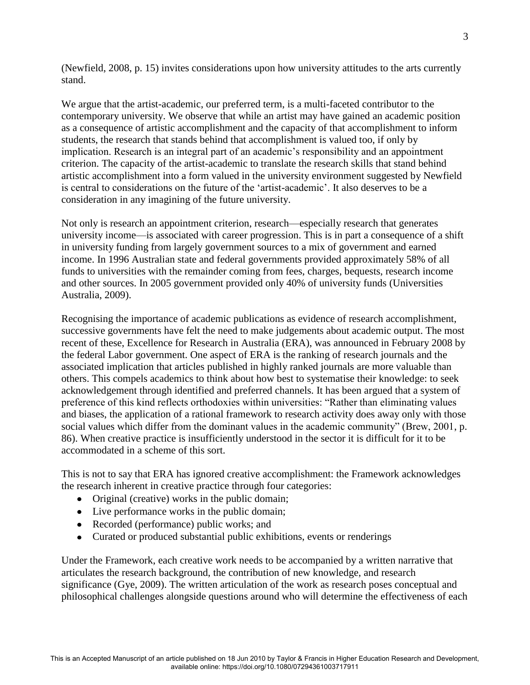(Newfield, 2008, p. 15) invites considerations upon how university attitudes to the arts currently stand.

We argue that the artist-academic, our preferred term, is a multi-faceted contributor to the contemporary university. We observe that while an artist may have gained an academic position as a consequence of artistic accomplishment and the capacity of that accomplishment to inform students, the research that stands behind that accomplishment is valued too, if only by implication. Research is an integral part of an academic's responsibility and an appointment criterion. The capacity of the artist-academic to translate the research skills that stand behind artistic accomplishment into a form valued in the university environment suggested by Newfield is central to considerations on the future of the 'artist-academic'. It also deserves to be a consideration in any imagining of the future university.

Not only is research an appointment criterion, research—especially research that generates university income—is associated with career progression. This is in part a consequence of a shift in university funding from largely government sources to a mix of government and earned income. In 1996 Australian state and federal governments provided approximately 58% of all funds to universities with the remainder coming from fees, charges, bequests, research income and other sources. In 2005 government provided only 40% of university funds (Universities Australia, 2009).

Recognising the importance of academic publications as evidence of research accomplishment, successive governments have felt the need to make judgements about academic output. The most recent of these, Excellence for Research in Australia (ERA), was announced in February 2008 by the federal Labor government. One aspect of ERA is the ranking of research journals and the associated implication that articles published in highly ranked journals are more valuable than others. This compels academics to think about how best to systematise their knowledge: to seek acknowledgement through identified and preferred channels. It has been argued that a system of preference of this kind reflects orthodoxies within universities: "Rather than eliminating values and biases, the application of a rational framework to research activity does away only with those social values which differ from the dominant values in the academic community" (Brew, 2001, p. 86). When creative practice is insufficiently understood in the sector it is difficult for it to be accommodated in a scheme of this sort.

This is not to say that ERA has ignored creative accomplishment: the Framework acknowledges the research inherent in creative practice through four categories:

- Original (creative) works in the public domain;
- Live performance works in the public domain;
- Recorded (performance) public works; and
- Curated or produced substantial public exhibitions, events or renderings

Under the Framework, each creative work needs to be accompanied by a written narrative that articulates the research background, the contribution of new knowledge, and research significance (Gye, 2009). The written articulation of the work as research poses conceptual and philosophical challenges alongside questions around who will determine the effectiveness of each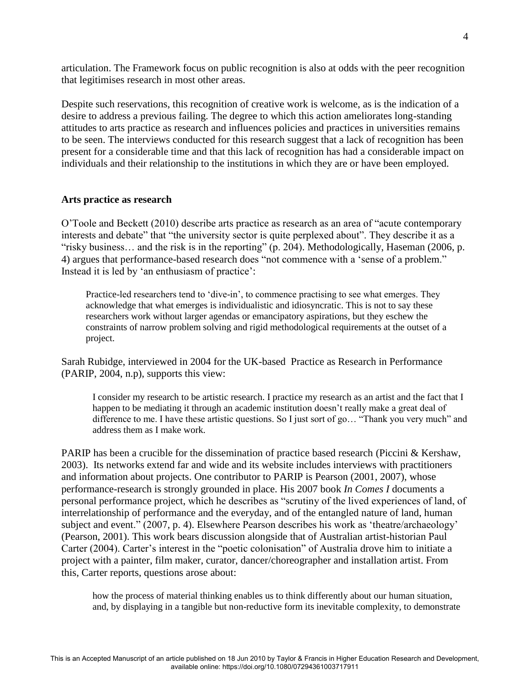articulation. The Framework focus on public recognition is also at odds with the peer recognition that legitimises research in most other areas.

Despite such reservations, this recognition of creative work is welcome, as is the indication of a desire to address a previous failing. The degree to which this action ameliorates long-standing attitudes to arts practice as research and influences policies and practices in universities remains to be seen. The interviews conducted for this research suggest that a lack of recognition has been present for a considerable time and that this lack of recognition has had a considerable impact on individuals and their relationship to the institutions in which they are or have been employed.

## **Arts practice as research**

O'Toole and Beckett (2010) describe arts practice as research as an area of "acute contemporary interests and debate" that "the university sector is quite perplexed about". They describe it as a "risky business... and the risk is in the reporting" (p. 204). Methodologically, Haseman (2006, p. 4) argues that performance-based research does "not commence with a 'sense of a problem." Instead it is led by 'an enthusiasm of practice':

Practice-led researchers tend to 'dive-in', to commence practising to see what emerges. They acknowledge that what emerges is individualistic and idiosyncratic. This is not to say these researchers work without larger agendas or emancipatory aspirations, but they eschew the constraints of narrow problem solving and rigid methodological requirements at the outset of a project.

Sarah Rubidge, interviewed in 2004 for the UK-based Practice as Research in Performance (PARIP, 2004, n.p), supports this view:

I consider my research to be artistic research. I practice my research as an artist and the fact that I happen to be mediating it through an academic institution doesn't really make a great deal of difference to me. I have these artistic questions. So I just sort of go... "Thank you very much" and address them as I make work.

PARIP has been a crucible for the dissemination of practice based research (Piccini & Kershaw, 2003). Its networks extend far and wide and its website includes interviews with practitioners and information about projects. One contributor to PARIP is Pearson (2001, 2007), whose performance-research is strongly grounded in place. His 2007 book *In Comes I* documents a personal performance project, which he describes as "scrutiny of the lived experiences of land, of interrelationship of performance and the everyday, and of the entangled nature of land, human subject and event." (2007, p. 4). Elsewhere Pearson describes his work as 'theatre/archaeology' (Pearson, 2001). This work bears discussion alongside that of Australian artist-historian Paul Carter (2004). Carter's interest in the "poetic colonisation" of Australia drove him to initiate a project with a painter, film maker, curator, dancer/choreographer and installation artist. From this, Carter reports, questions arose about:

how the process of material thinking enables us to think differently about our human situation, and, by displaying in a tangible but non-reductive form its inevitable complexity, to demonstrate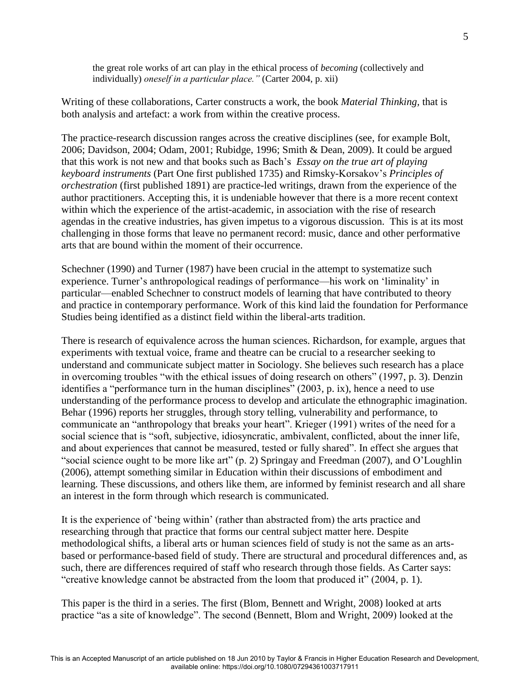the great role works of art can play in the ethical process of *becoming* (collectively and individually) *oneself in a particular place."* (Carter 2004, p. xii)

Writing of these collaborations, Carter constructs a work, the book *Material Thinking,* that is both analysis and artefact: a work from within the creative process.

The practice-research discussion ranges across the creative disciplines (see, for example Bolt, 2006; Davidson, 2004; Odam, 2001; Rubidge, 1996; Smith & Dean, 2009). It could be argued that this work is not new and that books such as Bach's *Essay on the true art of playing keyboard instruments* (Part One first published 1735) and Rimsky-Korsakov's *[Principles of](javascript:if%20(window.ABLFrame)%20ABLFrame.ShowDetail()  orchestration* [\(first published 1891\)](javascript:if%20(window.ABLFrame)%20ABLFrame.ShowDetail() are practice-led writings, drawn from the experience of the author practitioners. Accepting this, it is undeniable however that there is a more recent context within which the experience of the artist-academic, in association with the rise of research agendas in the creative industries, has given impetus to a vigorous discussion. This is at its most challenging in those forms that leave no permanent record: music, dance and other performative arts that are bound within the moment of their occurrence.

Schechner (1990) and Turner (1987) have been crucial in the attempt to systematize such experience. Turner's anthropological readings of performance—his work on 'liminality' in particular—enabled Schechner to construct models of learning that have contributed to theory and practice in contemporary performance. Work of this kind laid the foundation for Performance Studies being identified as a distinct field within the liberal-arts tradition.

There is research of equivalence across the human sciences. Richardson, for example, argues that experiments with textual voice, frame and theatre can be crucial to a researcher seeking to understand and communicate subject matter in Sociology. She believes such research has a place in overcoming troubles "with the ethical issues of doing research on others" (1997, p. 3). Denzin identifies a "performance turn in the human disciplines"  $(2003, p. ix)$ , hence a need to use understanding of the performance process to develop and articulate the ethnographic imagination. Behar (1996) reports her struggles, through story telling, vulnerability and performance, to communicate an "anthropology that breaks your heart". Krieger (1991) writes of the need for a social science that is "soft, subjective, idiosyncratic, ambivalent, conflicted, about the inner life, and about experiences that cannot be measured, tested or fully shared". In effect she argues that "social science ought to be more like art" (p. 2) Springay and Freedman (2007), and O'Loughlin (2006), attempt something similar in Education within their discussions of embodiment and learning. These discussions, and others like them, are informed by feminist research and all share an interest in the form through which research is communicated.

It is the experience of ‗being within' (rather than abstracted from) the arts practice and researching through that practice that forms our central subject matter here. Despite methodological shifts, a liberal arts or human sciences field of study is not the same as an artsbased or performance-based field of study. There are structural and procedural differences and, as such, there are differences required of staff who research through those fields. As Carter says: "creative knowledge cannot be abstracted from the loom that produced it"  $(2004, p. 1)$ .

This paper is the third in a series. The first (Blom, Bennett and Wright, 2008) looked at arts practice "as a site of knowledge". The second (Bennett, Blom and Wright, 2009) looked at the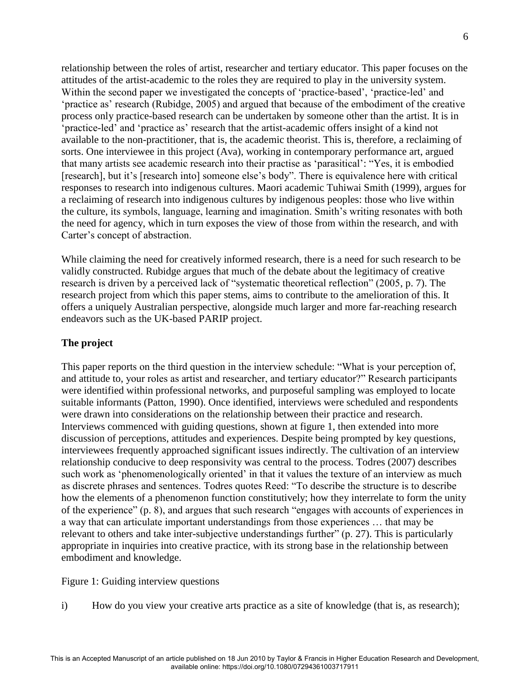relationship between the roles of artist, researcher and tertiary educator. This paper focuses on the attitudes of the artist-academic to the roles they are required to play in the university system. Within the second paper we investigated the concepts of 'practice-based', 'practice-led' and ‗practice as' research (Rubidge, 2005) and argued that because of the embodiment of the creative process only practice-based research can be undertaken by someone other than the artist. It is in ‗practice-led' and ‗practice as' research that the artist-academic offers insight of a kind not available to the non-practitioner, that is, the academic theorist. This is, therefore, a reclaiming of sorts. One interviewee in this project (Ava), working in contemporary performance art, argued that many artists see academic research into their practise as 'parasitical': "Yes, it is embodied [research], but it's [research into] someone else's body". There is equivalence here with critical responses to research into indigenous cultures. Maori academic Tuhiwai Smith (1999), argues for a reclaiming of research into indigenous cultures by indigenous peoples: those who live within the culture, its symbols, language, learning and imagination. Smith's writing resonates with both the need for agency, which in turn exposes the view of those from within the research, and with Carter's concept of abstraction.

While claiming the need for creatively informed research, there is a need for such research to be validly constructed. Rubidge argues that much of the debate about the legitimacy of creative research is driven by a perceived lack of "systematic theoretical reflection" (2005, p. 7). The research project from which this paper stems, aims to contribute to the amelioration of this. It offers a uniquely Australian perspective, alongside much larger and more far-reaching research endeavors such as the UK-based PARIP project.

## **The project**

This paper reports on the third question in the interview schedule: "What is your perception of, and attitude to, your roles as artist and researcher, and tertiary educator?" Research participants were identified within professional networks, and purposeful sampling was employed to locate suitable informants (Patton, 1990). Once identified, interviews were scheduled and respondents were drawn into considerations on the relationship between their practice and research. Interviews commenced with guiding questions, shown at figure 1, then extended into more discussion of perceptions, attitudes and experiences. Despite being prompted by key questions, interviewees frequently approached significant issues indirectly. The cultivation of an interview relationship conducive to deep responsivity was central to the process. Todres (2007) describes such work as 'phenomenologically oriented' in that it values the texture of an interview as much as discrete phrases and sentences. Todres quotes Reed: "To describe the structure is to describe how the elements of a phenomenon function constitutively; how they interrelate to form the unity of the experience"  $(p, 8)$ , and argues that such research "engages with accounts of experiences in a way that can articulate important understandings from those experiences … that may be relevant to others and take inter-subjective understandings further" (p. 27). This is particularly appropriate in inquiries into creative practice, with its strong base in the relationship between embodiment and knowledge.

Figure 1: Guiding interview questions

i) How do you view your creative arts practice as a site of knowledge (that is, as research);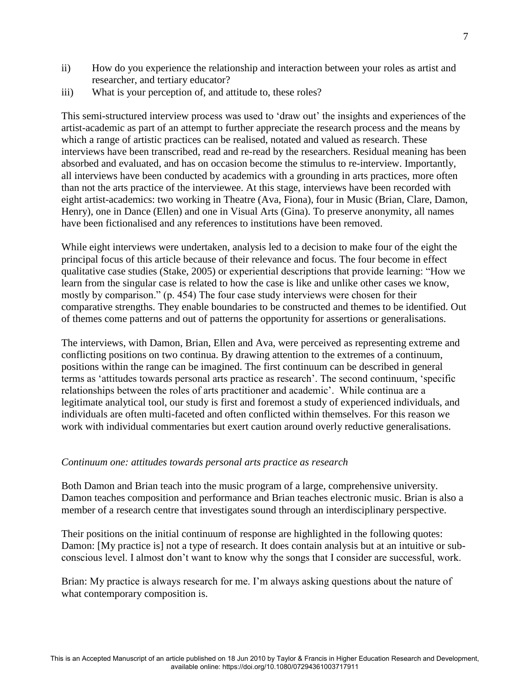- ii) How do you experience the relationship and interaction between your roles as artist and researcher, and tertiary educator?
- iii) What is your perception of, and attitude to, these roles?

This semi-structured interview process was used to 'draw out' the insights and experiences of the artist-academic as part of an attempt to further appreciate the research process and the means by which a range of artistic practices can be realised, notated and valued as research. These interviews have been transcribed, read and re-read by the researchers. Residual meaning has been absorbed and evaluated, and has on occasion become the stimulus to re-interview. Importantly, all interviews have been conducted by academics with a grounding in arts practices, more often than not the arts practice of the interviewee. At this stage, interviews have been recorded with eight artist-academics: two working in Theatre (Ava, Fiona), four in Music (Brian, Clare, Damon, Henry), one in Dance (Ellen) and one in Visual Arts (Gina). To preserve anonymity, all names have been fictionalised and any references to institutions have been removed.

While eight interviews were undertaken, analysis led to a decision to make four of the eight the principal focus of this article because of their relevance and focus. The four become in effect qualitative case studies (Stake, 2005) or experiential descriptions that provide learning: "How we learn from the singular case is related to how the case is like and unlike other cases we know, mostly by comparison." (p. 454) The four case study interviews were chosen for their comparative strengths. They enable boundaries to be constructed and themes to be identified. Out of themes come patterns and out of patterns the opportunity for assertions or generalisations.

The interviews, with Damon, Brian, Ellen and Ava, were perceived as representing extreme and conflicting positions on two continua. By drawing attention to the extremes of a continuum, positions within the range can be imagined. The first continuum can be described in general terms as 'attitudes towards personal arts practice as research'. The second continuum, 'specific relationships between the roles of arts practitioner and academic'. While continua are a legitimate analytical tool, our study is first and foremost a study of experienced individuals, and individuals are often multi-faceted and often conflicted within themselves. For this reason we work with individual commentaries but exert caution around overly reductive generalisations.

## *Continuum one: attitudes towards personal arts practice as research*

Both Damon and Brian teach into the music program of a large, comprehensive university. Damon teaches composition and performance and Brian teaches electronic music. Brian is also a member of a research centre that investigates sound through an interdisciplinary perspective.

Their positions on the initial continuum of response are highlighted in the following quotes: Damon: [My practice is] not a type of research. It does contain analysis but at an intuitive or subconscious level. I almost don't want to know why the songs that I consider are successful, work.

Brian: My practice is always research for me. I'm always asking questions about the nature of what contemporary composition is.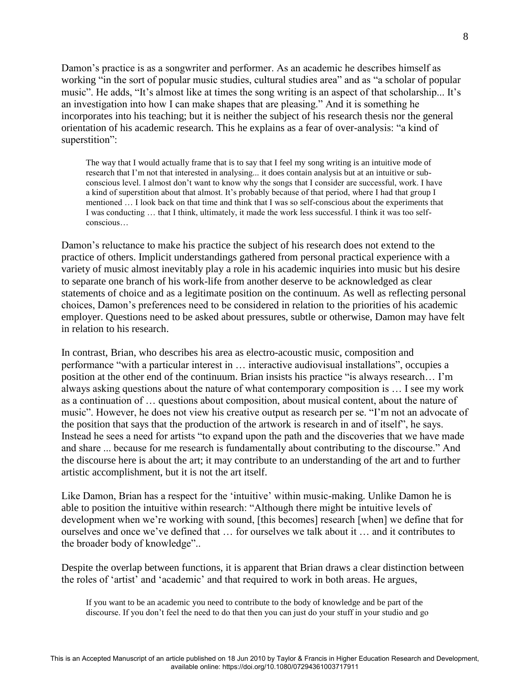Damon's practice is as a songwriter and performer. As an academic he describes himself as working "in the sort of popular music studies, cultural studies area" and as "a scholar of popular music". He adds, "It's almost like at times the song writing is an aspect of that scholarship... It's an investigation into how I can make shapes that are pleasing." And it is something he incorporates into his teaching; but it is neither the subject of his research thesis nor the general orientation of his academic research. This he explains as a fear of over-analysis: "a kind of superstition":

The way that I would actually frame that is to say that I feel my song writing is an intuitive mode of research that I'm not that interested in analysing... it does contain analysis but at an intuitive or subconscious level. I almost don't want to know why the songs that I consider are successful, work. I have a kind of superstition about that almost. It's probably because of that period, where I had that group I mentioned … I look back on that time and think that I was so self-conscious about the experiments that I was conducting … that I think, ultimately, it made the work less successful. I think it was too selfconscious…

Damon's reluctance to make his practice the subject of his research does not extend to the practice of others. Implicit understandings gathered from personal practical experience with a variety of music almost inevitably play a role in his academic inquiries into music but his desire to separate one branch of his work-life from another deserve to be acknowledged as clear statements of choice and as a legitimate position on the continuum. As well as reflecting personal choices, Damon's preferences need to be considered in relation to the priorities of his academic employer. Questions need to be asked about pressures, subtle or otherwise, Damon may have felt in relation to his research.

In contrast, Brian, who describes his area as electro-acoustic music, composition and performance "with a particular interest in ... interactive audiovisual installations", occupies a position at the other end of the continuum. Brian insists his practice "is always research... I'm always asking questions about the nature of what contemporary composition is … I see my work as a continuation of … questions about composition, about musical content, about the nature of music". However, he does not view his creative output as research per se. "I'm not an advocate of the position that says that the production of the artwork is research in and of itself<sup>"</sup>, he says. Instead he sees a need for artists "to expand upon the path and the discoveries that we have made and share ... because for me research is fundamentally about contributing to the discourse." And the discourse here is about the art; it may contribute to an understanding of the art and to further artistic accomplishment, but it is not the art itself.

Like Damon, Brian has a respect for the 'intuitive' within music-making. Unlike Damon he is able to position the intuitive within research: "Although there might be intuitive levels of development when we're working with sound, [this becomes] research [when] we define that for ourselves and once we've defined that … for ourselves we talk about it … and it contributes to the broader body of knowledge"...

Despite the overlap between functions, it is apparent that Brian draws a clear distinction between the roles of 'artist' and 'academic' and that required to work in both areas. He argues,

If you want to be an academic you need to contribute to the body of knowledge and be part of the discourse. If you don't feel the need to do that then you can just do your stuff in your studio and go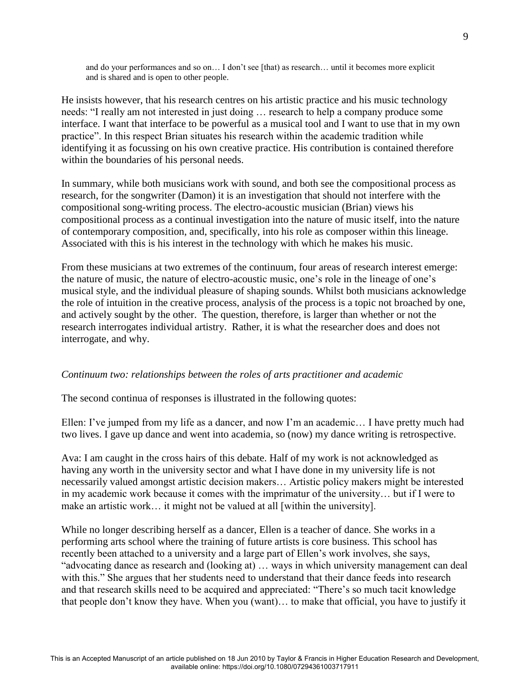and do your performances and so on… I don't see [that) as research… until it becomes more explicit and is shared and is open to other people.

He insists however, that his research centres on his artistic practice and his music technology needs: "I really am not interested in just doing ... research to help a company produce some interface. I want that interface to be powerful as a musical tool and I want to use that in my own practice". In this respect Brian situates his research within the academic tradition while identifying it as focussing on his own creative practice. His contribution is contained therefore within the boundaries of his personal needs.

In summary, while both musicians work with sound, and both see the compositional process as research, for the songwriter (Damon) it is an investigation that should not interfere with the compositional song-writing process. The electro-acoustic musician (Brian) views his compositional process as a continual investigation into the nature of music itself, into the nature of contemporary composition, and, specifically, into his role as composer within this lineage. Associated with this is his interest in the technology with which he makes his music.

From these musicians at two extremes of the continuum, four areas of research interest emerge: the nature of music, the nature of electro-acoustic music, one's role in the lineage of one's musical style, and the individual pleasure of shaping sounds. Whilst both musicians acknowledge the role of intuition in the creative process, analysis of the process is a topic not broached by one, and actively sought by the other. The question, therefore, is larger than whether or not the research interrogates individual artistry. Rather, it is what the researcher does and does not interrogate, and why.

## *Continuum two: relationships between the roles of arts practitioner and academic*

The second continua of responses is illustrated in the following quotes:

Ellen: I've jumped from my life as a dancer, and now I'm an academic… I have pretty much had two lives. I gave up dance and went into academia, so (now) my dance writing is retrospective.

Ava: I am caught in the cross hairs of this debate. Half of my work is not acknowledged as having any worth in the university sector and what I have done in my university life is not necessarily valued amongst artistic decision makers… Artistic policy makers might be interested in my academic work because it comes with the imprimatur of the university… but if I were to make an artistic work… it might not be valued at all [within the university].

While no longer describing herself as a dancer, Ellen is a teacher of dance. She works in a performing arts school where the training of future artists is core business. This school has recently been attached to a university and a large part of Ellen's work involves, she says, "advocating dance as research and (looking at)  $\ldots$  ways in which university management can deal with this." She argues that her students need to understand that their dance feeds into research and that research skills need to be acquired and appreciated: "There's so much tacit knowledge that people don't know they have. When you (want)… to make that official, you have to justify it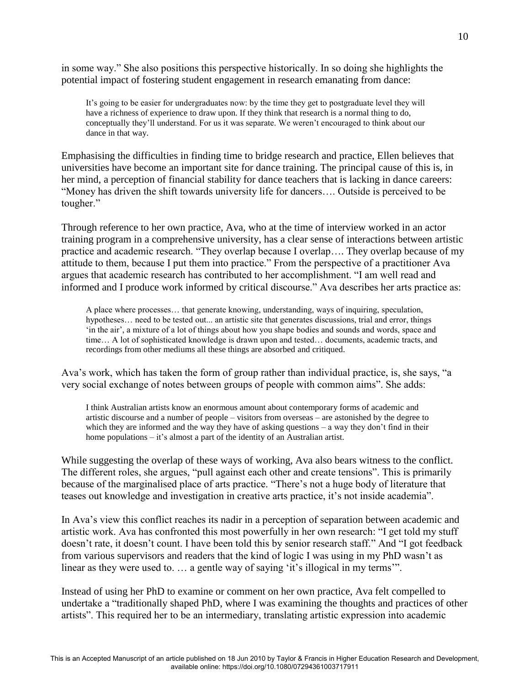in some way." She also positions this perspective historically. In so doing she highlights the potential impact of fostering student engagement in research emanating from dance:

It's going to be easier for undergraduates now: by the time they get to postgraduate level they will have a richness of experience to draw upon. If they think that research is a normal thing to do, conceptually they'll understand. For us it was separate. We weren't encouraged to think about our dance in that way.

Emphasising the difficulties in finding time to bridge research and practice, Ellen believes that universities have become an important site for dance training. The principal cause of this is, in her mind, a perception of financial stability for dance teachers that is lacking in dance careers: ―Money has driven the shift towards university life for dancers…. Outside is perceived to be tougher."

Through reference to her own practice, Ava, who at the time of interview worked in an actor training program in a comprehensive university, has a clear sense of interactions between artistic practice and academic research. "They overlap because I overlap.... They overlap because of my attitude to them, because I put them into practice." From the perspective of a practitioner Ava argues that academic research has contributed to her accomplishment. "I am well read and informed and I produce work informed by critical discourse." Ava describes her arts practice as:

A place where processes… that generate knowing, understanding, ways of inquiring, speculation, hypotheses... need to be tested out... an artistic site that generates discussions, trial and error, things ‗in the air', a mixture of a lot of things about how you shape bodies and sounds and words, space and time… A lot of sophisticated knowledge is drawn upon and tested… documents, academic tracts, and recordings from other mediums all these things are absorbed and critiqued.

Ava's work, which has taken the form of group rather than individual practice, is, she says, "a very social exchange of notes between groups of people with common aims". She adds:

I think Australian artists know an enormous amount about contemporary forms of academic and artistic discourse and a number of people – visitors from overseas – are astonished by the degree to which they are informed and the way they have of asking questions – a way they don't find in their home populations – it's almost a part of the identity of an Australian artist.

While suggesting the overlap of these ways of working, Ava also bears witness to the conflict. The different roles, she argues, "pull against each other and create tensions". This is primarily because of the marginalised place of arts practice. "There's not a huge body of literature that teases out knowledge and investigation in creative arts practice, it's not inside academia".

In Ava's view this conflict reaches its nadir in a perception of separation between academic and artistic work. Ava has confronted this most powerfully in her own research: "I get told my stuff doesn't rate, it doesn't count. I have been told this by senior research staff." And "I got feedback from various supervisors and readers that the kind of logic I was using in my PhD wasn't as linear as they were used to.  $\ldots$  a gentle way of saying 'it's illogical in my terms'".

Instead of using her PhD to examine or comment on her own practice, Ava felt compelled to undertake a "traditionally shaped PhD, where I was examining the thoughts and practices of other artists‖. This required her to be an intermediary, translating artistic expression into academic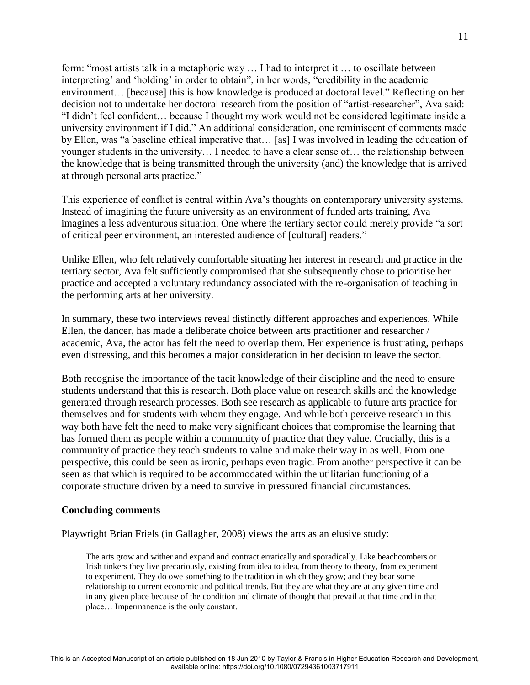form: "most artists talk in a metaphoric way ... I had to interpret it ... to oscillate between interpreting' and 'holding' in order to obtain", in her words, "credibility in the academic environment... [because] this is how knowledge is produced at doctoral level." Reflecting on her decision not to undertake her doctoral research from the position of "artist-researcher", Ava said: ―I didn't feel confident… because I thought my work would not be considered legitimate inside a university environment if I did." An additional consideration, one reminiscent of comments made by Ellen, was "a baseline ethical imperative that... [as] I was involved in leading the education of younger students in the university… I needed to have a clear sense of… the relationship between the knowledge that is being transmitted through the university (and) the knowledge that is arrived at through personal arts practice."

This experience of conflict is central within Ava's thoughts on contemporary university systems. Instead of imagining the future university as an environment of funded arts training, Ava imagines a less adventurous situation. One where the tertiary sector could merely provide "a sort of critical peer environment, an interested audience of [cultural] readers."

Unlike Ellen, who felt relatively comfortable situating her interest in research and practice in the tertiary sector, Ava felt sufficiently compromised that she subsequently chose to prioritise her practice and accepted a voluntary redundancy associated with the re-organisation of teaching in the performing arts at her university.

In summary, these two interviews reveal distinctly different approaches and experiences. While Ellen, the dancer, has made a deliberate choice between arts practitioner and researcher / academic, Ava, the actor has felt the need to overlap them. Her experience is frustrating, perhaps even distressing, and this becomes a major consideration in her decision to leave the sector.

Both recognise the importance of the tacit knowledge of their discipline and the need to ensure students understand that this is research. Both place value on research skills and the knowledge generated through research processes. Both see research as applicable to future arts practice for themselves and for students with whom they engage. And while both perceive research in this way both have felt the need to make very significant choices that compromise the learning that has formed them as people within a community of practice that they value. Crucially, this is a community of practice they teach students to value and make their way in as well. From one perspective, this could be seen as ironic, perhaps even tragic. From another perspective it can be seen as that which is required to be accommodated within the utilitarian functioning of a corporate structure driven by a need to survive in pressured financial circumstances.

#### **Concluding comments**

Playwright Brian Friels (in Gallagher, 2008) views the arts as an elusive study:

The arts grow and wither and expand and contract erratically and sporadically. Like beachcombers or Irish tinkers they live precariously, existing from idea to idea, from theory to theory, from experiment to experiment. They do owe something to the tradition in which they grow; and they bear some relationship to current economic and political trends. But they are what they are at any given time and in any given place because of the condition and climate of thought that prevail at that time and in that place… Impermanence is the only constant.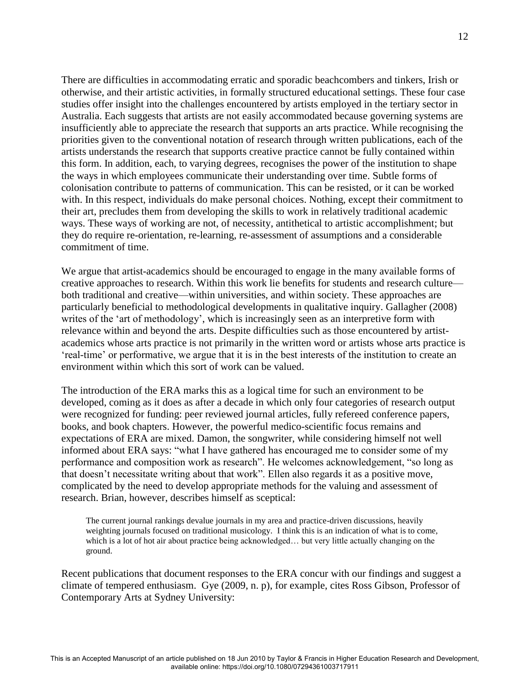There are difficulties in accommodating erratic and sporadic beachcombers and tinkers, Irish or otherwise, and their artistic activities, in formally structured educational settings. These four case studies offer insight into the challenges encountered by artists employed in the tertiary sector in Australia. Each suggests that artists are not easily accommodated because governing systems are insufficiently able to appreciate the research that supports an arts practice. While recognising the priorities given to the conventional notation of research through written publications, each of the artists understands the research that supports creative practice cannot be fully contained within this form. In addition, each, to varying degrees, recognises the power of the institution to shape the ways in which employees communicate their understanding over time. Subtle forms of colonisation contribute to patterns of communication. This can be resisted, or it can be worked with. In this respect, individuals do make personal choices. Nothing, except their commitment to their art, precludes them from developing the skills to work in relatively traditional academic ways. These ways of working are not, of necessity, antithetical to artistic accomplishment; but they do require re-orientation, re-learning, re-assessment of assumptions and a considerable commitment of time.

We argue that artist-academics should be encouraged to engage in the many available forms of creative approaches to research. Within this work lie benefits for students and research culture both traditional and creative—within universities, and within society. These approaches are particularly beneficial to methodological developments in qualitative inquiry. Gallagher (2008) writes of the 'art of methodology', which is increasingly seen as an interpretive form with relevance within and beyond the arts. Despite difficulties such as those encountered by artistacademics whose arts practice is not primarily in the written word or artists whose arts practice is ‗real-time' or performative, we argue that it is in the best interests of the institution to create an environment within which this sort of work can be valued.

The introduction of the ERA marks this as a logical time for such an environment to be developed, coming as it does as after a decade in which only four categories of research output were recognized for funding: peer reviewed journal articles, fully refereed conference papers, books, and book chapters. However, the powerful medico-scientific focus remains and expectations of ERA are mixed. Damon, the songwriter, while considering himself not well informed about ERA says: "what I have gathered has encouraged me to consider some of my performance and composition work as research". He welcomes acknowledgement, "so long as that doesn't necessitate writing about that work". Ellen also regards it as a positive move, complicated by the need to develop appropriate methods for the valuing and assessment of research. Brian, however, describes himself as sceptical:

The current journal rankings devalue journals in my area and practice-driven discussions, heavily weighting journals focused on traditional musicology. I think this is an indication of what is to come, which is a lot of hot air about practice being acknowledged... but very little actually changing on the ground.

Recent publications that document responses to the ERA concur with our findings and suggest a climate of tempered enthusiasm. Gye (2009, n. p), for example, cites Ross Gibson, Professor of Contemporary Arts at Sydney University: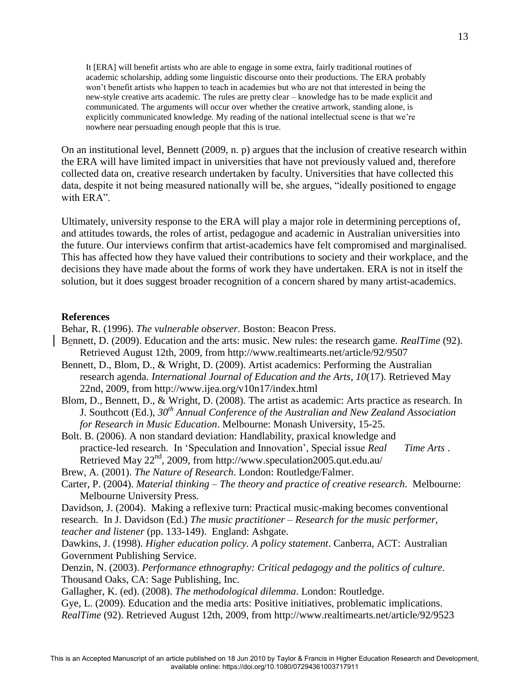It [ERA] will benefit artists who are able to engage in some extra, fairly traditional routines of academic scholarship, adding some linguistic discourse onto their productions. The ERA probably won't benefit artists who happen to teach in academies but who are not that interested in being the new-style creative arts academic. The rules are pretty clear – knowledge has to be made explicit and communicated. The arguments will occur over whether the creative artwork, standing alone, is explicitly communicated knowledge. My reading of the national intellectual scene is that we're nowhere near persuading enough people that this is true.

On an institutional level, Bennett (2009, n. p) argues that the inclusion of creative research within the ERA will have limited impact in universities that have not previously valued and, therefore collected data on, creative research undertaken by faculty. Universities that have collected this data, despite it not being measured nationally will be, she argues, "ideally positioned to engage with ERA".

Ultimately, university response to the ERA will play a major role in determining perceptions of, and attitudes towards, the roles of artist, pedagogue and academic in Australian universities into the future. Our interviews confirm that artist-academics have felt compromised and marginalised. This has affected how they have valued their contributions to society and their workplace, and the decisions they have made about the forms of work they have undertaken. ERA is not in itself the solution, but it does suggest broader recognition of a concern shared by many artist-academics.

#### **References**

Behar, R. (1996). *The vulnerable observer.* Boston: Beacon Press.

- Bennett, D. (2009). Education and the arts: music. New rules: the research game. *RealTime* (92). Retrieved August 12th, 2009, from http://www.realtimearts.net/article/92/9507
- Bennett, D., Blom, D., & Wright, D. (2009). Artist academics: Performing the Australian research agenda. *International Journal of Education and the Arts*, *10*(17). Retrieved May 22nd, 2009, from http://www.ijea.org/v10n17/index.html
- Blom, D., Bennett, D., & Wright, D. (2008). The artist as academic: Arts practice as research. In J. Southcott (Ed.), *30th Annual Conference of the Australian and New Zealand Association for Research in Music Education*. Melbourne: Monash University, 15-25.
- Bolt. B. (2006). A non standard deviation: Handlability, praxical knowledge and practice-led research. In 'Speculation and Innovation', Special issue *Real Time Arts*. Retrieved May 22<sup>nd</sup>, 2009, from http://www.speculation2005.qut.edu.au/

Brew, A. (2001). *The Nature of Research*. London: Routledge/Falmer.

- Carter, P. (2004). *Material thinking – The theory and practice of creative research*. Melbourne: Melbourne University Press.
- Davidson, J. (2004). Making a reflexive turn: Practical music-making becomes conventional
- research. In J. Davidson (Ed.) *The music practitioner – Research for the music performer, teacher and listener* (pp. 133-149). England: Ashgate.

Dawkins, J. (1998). *Higher education policy. A policy statement*. Canberra, ACT: Australian Government Publishing Service.

- Denzin, N. (2003). *Performance ethnography: Critical pedagogy and the politics of culture*. Thousand Oaks, CA: Sage Publishing, Inc.
- Gallagher, K. (ed). (2008). *The methodological dilemma*. London: Routledge.
- Gye, L. (2009). Education and the media arts: Positive initiatives, problematic implications. *RealTime* (92). Retrieved August 12th, 2009, from<http://www.realtimearts.net/article/92/9523>